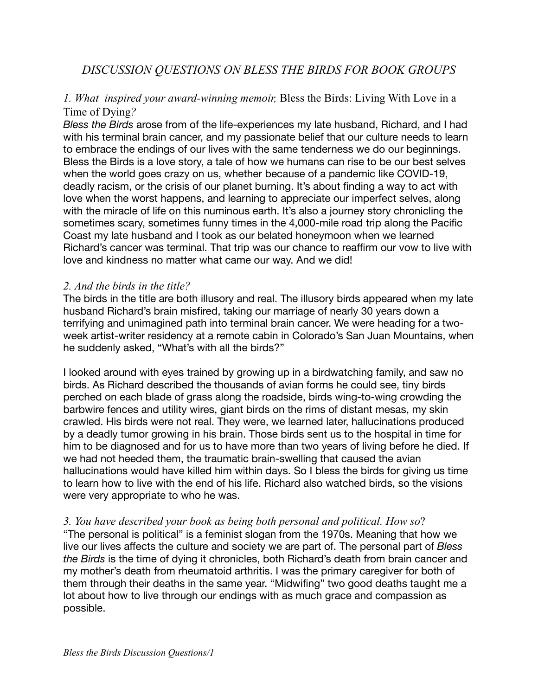# *1. What inspired your award-winning memoir,* Bless the Birds: Living With Love in a Time of Dying*?*

*Bless the Birds* arose from of the life-experiences my late husband, Richard, and I had with his terminal brain cancer, and my passionate belief that our culture needs to learn to embrace the endings of our lives with the same tenderness we do our beginnings. Bless the Birds is a love story, a tale of how we humans can rise to be our best selves when the world goes crazy on us, whether because of a pandemic like COVID-19, deadly racism, or the crisis of our planet burning. It's about finding a way to act with love when the worst happens, and learning to appreciate our imperfect selves, along with the miracle of life on this numinous earth. It's also a journey story chronicling the sometimes scary, sometimes funny times in the 4,000-mile road trip along the Pacific Coast my late husband and I took as our belated honeymoon when we learned Richard's cancer was terminal. That trip was our chance to reaffirm our vow to live with love and kindness no matter what came our way. And we did!

# *2. And the birds in the title?*

The birds in the title are both illusory and real. The illusory birds appeared when my late husband Richard's brain misfired, taking our marriage of nearly 30 years down a terrifying and unimagined path into terminal brain cancer. We were heading for a twoweek artist-writer residency at a remote cabin in Colorado's San Juan Mountains, when he suddenly asked, "What's with all the birds?"

I looked around with eyes trained by growing up in a birdwatching family, and saw no birds. As Richard described the thousands of avian forms he could see, tiny birds perched on each blade of grass along the roadside, birds wing-to-wing crowding the barbwire fences and utility wires, giant birds on the rims of distant mesas, my skin crawled. His birds were not real. They were, we learned later, hallucinations produced by a deadly tumor growing in his brain. Those birds sent us to the hospital in time for him to be diagnosed and for us to have more than two years of living before he died. If we had not heeded them, the traumatic brain-swelling that caused the avian hallucinations would have killed him within days. So I bless the birds for giving us time to learn how to live with the end of his life. Richard also watched birds, so the visions were very appropriate to who he was.

# *3. You have described your book as being both personal and political. How so*?

"The personal is political" is a feminist slogan from the 1970s. Meaning that how we live our lives affects the culture and society we are part of. The personal part of *Bless the Birds* is the time of dying it chronicles, both Richard's death from brain cancer and my mother's death from rheumatoid arthritis. I was the primary caregiver for both of them through their deaths in the same year. "Midwifing" two good deaths taught me a lot about how to live through our endings with as much grace and compassion as possible.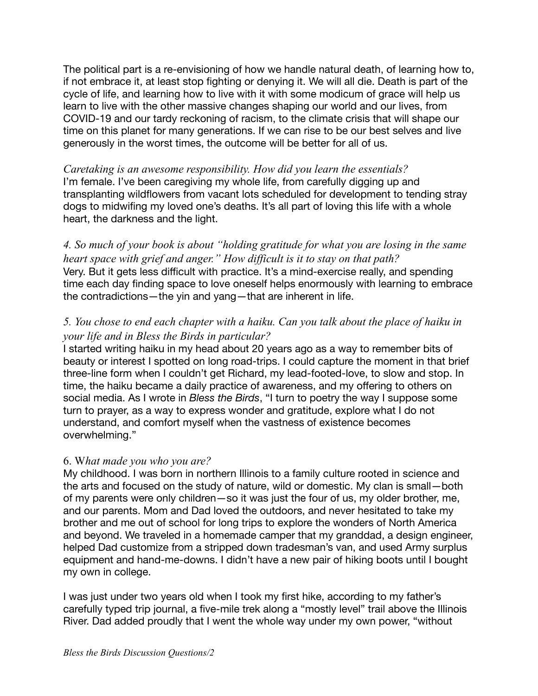The political part is a re-envisioning of how we handle natural death, of learning how to, if not embrace it, at least stop fighting or denying it. We will all die. Death is part of the cycle of life, and learning how to live with it with some modicum of grace will help us learn to live with the other massive changes shaping our world and our lives, from COVID-19 and our tardy reckoning of racism, to the climate crisis that will shape our time on this planet for many generations. If we can rise to be our best selves and live generously in the worst times, the outcome will be better for all of us.

*Caretaking is an awesome responsibility. How did you learn the essentials?*  I'm female. I've been caregiving my whole life, from carefully digging up and transplanting wildflowers from vacant lots scheduled for development to tending stray dogs to midwifing my loved one's deaths. It's all part of loving this life with a whole heart, the darkness and the light.

*4. So much of your book is about "holding gratitude for what you are losing in the same heart space with grief and anger." How difficult is it to stay on that path?* Very. But it gets less difficult with practice. It's a mind-exercise really, and spending time each day finding space to love oneself helps enormously with learning to embrace the contradictions—the yin and yang—that are inherent in life.

# *5. You chose to end each chapter with a haiku. Can you talk about the place of haiku in your life and in Bless the Birds in particular?*

I started writing haiku in my head about 20 years ago as a way to remember bits of beauty or interest I spotted on long road-trips. I could capture the moment in that brief three-line form when I couldn't get Richard, my lead-footed-love, to slow and stop. In time, the haiku became a daily practice of awareness, and my offering to others on social media. As I wrote in *Bless the Birds*, "I turn to poetry the way I suppose some turn to prayer, as a way to express wonder and gratitude, explore what I do not understand, and comfort myself when the vastness of existence becomes overwhelming."

# 6. W*hat made you who you are?*

My childhood. I was born in northern Illinois to a family culture rooted in science and the arts and focused on the study of nature, wild or domestic. My clan is small—both of my parents were only children—so it was just the four of us, my older brother, me, and our parents. Mom and Dad loved the outdoors, and never hesitated to take my brother and me out of school for long trips to explore the wonders of North America and beyond. We traveled in a homemade camper that my granddad, a design engineer, helped Dad customize from a stripped down tradesman's van, and used Army surplus equipment and hand-me-downs. I didn't have a new pair of hiking boots until I bought my own in college.

I was just under two years old when I took my first hike, according to my father's carefully typed trip journal, a five-mile trek along a "mostly level" trail above the Illinois River. Dad added proudly that I went the whole way under my own power, "without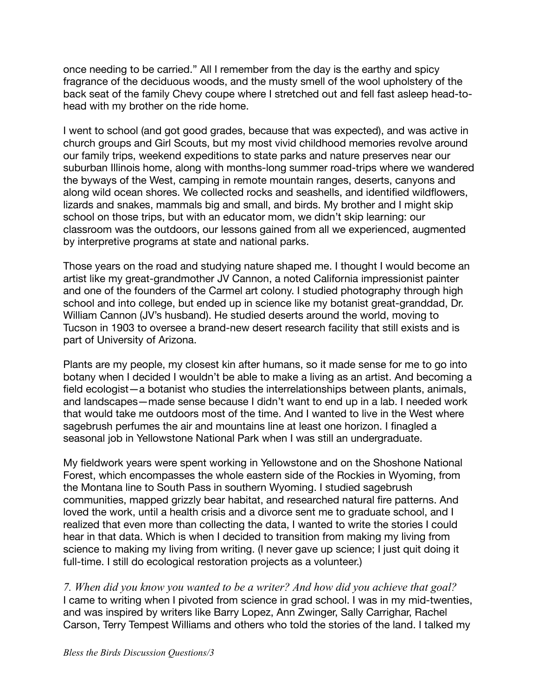once needing to be carried." All I remember from the day is the earthy and spicy fragrance of the deciduous woods, and the musty smell of the wool upholstery of the back seat of the family Chevy coupe where I stretched out and fell fast asleep head-tohead with my brother on the ride home.

I went to school (and got good grades, because that was expected), and was active in church groups and Girl Scouts, but my most vivid childhood memories revolve around our family trips, weekend expeditions to state parks and nature preserves near our suburban Illinois home, along with months-long summer road-trips where we wandered the byways of the West, camping in remote mountain ranges, deserts, canyons and along wild ocean shores. We collected rocks and seashells, and identified wildflowers, lizards and snakes, mammals big and small, and birds. My brother and I might skip school on those trips, but with an educator mom, we didn't skip learning: our classroom was the outdoors, our lessons gained from all we experienced, augmented by interpretive programs at state and national parks.

Those years on the road and studying nature shaped me. I thought I would become an artist like my great-grandmother JV Cannon, a noted California impressionist painter and one of the founders of the Carmel art colony. I studied photography through high school and into college, but ended up in science like my botanist great-granddad, Dr. William Cannon (JV's husband). He studied deserts around the world, moving to Tucson in 1903 to oversee a brand-new desert research facility that still exists and is part of University of Arizona.

Plants are my people, my closest kin after humans, so it made sense for me to go into botany when I decided I wouldn't be able to make a living as an artist. And becoming a field ecologist—a botanist who studies the interrelationships between plants, animals, and landscapes—made sense because I didn't want to end up in a lab. I needed work that would take me outdoors most of the time. And I wanted to live in the West where sagebrush perfumes the air and mountains line at least one horizon. I finagled a seasonal job in Yellowstone National Park when I was still an undergraduate.

My fieldwork years were spent working in Yellowstone and on the Shoshone National Forest, which encompasses the whole eastern side of the Rockies in Wyoming, from the Montana line to South Pass in southern Wyoming. I studied sagebrush communities, mapped grizzly bear habitat, and researched natural fire patterns. And loved the work, until a health crisis and a divorce sent me to graduate school, and I realized that even more than collecting the data, I wanted to write the stories I could hear in that data. Which is when I decided to transition from making my living from science to making my living from writing. (I never gave up science; I just quit doing it full-time. I still do ecological restoration projects as a volunteer.)

*7. When did you know you wanted to be a writer? And how did you achieve that goal?*  I came to writing when I pivoted from science in grad school. I was in my mid-twenties, and was inspired by writers like Barry Lopez, Ann Zwinger, Sally Carrighar, Rachel Carson, Terry Tempest Williams and others who told the stories of the land. I talked my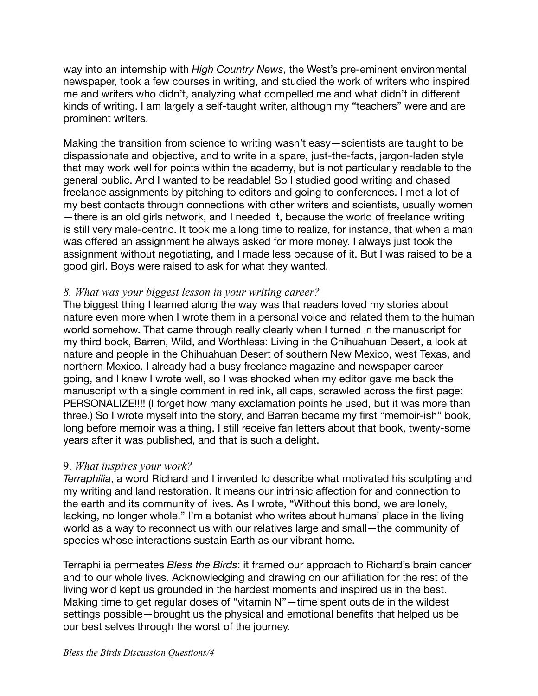way into an internship with *High Country News*, the West's pre-eminent environmental newspaper, took a few courses in writing, and studied the work of writers who inspired me and writers who didn't, analyzing what compelled me and what didn't in different kinds of writing. I am largely a self-taught writer, although my "teachers" were and are prominent writers.

Making the transition from science to writing wasn't easy—scientists are taught to be dispassionate and objective, and to write in a spare, just-the-facts, jargon-laden style that may work well for points within the academy, but is not particularly readable to the general public. And I wanted to be readable! So I studied good writing and chased freelance assignments by pitching to editors and going to conferences. I met a lot of my best contacts through connections with other writers and scientists, usually women —there is an old girls network, and I needed it, because the world of freelance writing is still very male-centric. It took me a long time to realize, for instance, that when a man was offered an assignment he always asked for more money. I always just took the assignment without negotiating, and I made less because of it. But I was raised to be a good girl. Boys were raised to ask for what they wanted.

## *8. What was your biggest lesson in your writing career?*

The biggest thing I learned along the way was that readers loved my stories about nature even more when I wrote them in a personal voice and related them to the human world somehow. That came through really clearly when I turned in the manuscript for my third book, Barren, Wild, and Worthless: Living in the Chihuahuan Desert, a look at nature and people in the Chihuahuan Desert of southern New Mexico, west Texas, and northern Mexico. I already had a busy freelance magazine and newspaper career going, and I knew I wrote well, so I was shocked when my editor gave me back the manuscript with a single comment in red ink, all caps, scrawled across the first page: PERSONALIZE!!!! (I forget how many exclamation points he used, but it was more than three.) So I wrote myself into the story, and Barren became my first "memoir-ish" book, long before memoir was a thing. I still receive fan letters about that book, twenty-some years after it was published, and that is such a delight.

#### 9. *What inspires your work?*

*Terraphilia*, a word Richard and I invented to describe what motivated his sculpting and my writing and land restoration. It means our intrinsic affection for and connection to the earth and its community of lives. As I wrote, "Without this bond, we are lonely, lacking, no longer whole." I'm a botanist who writes about humans' place in the living world as a way to reconnect us with our relatives large and small—the community of species whose interactions sustain Earth as our vibrant home.

Terraphilia permeates *Bless the Birds*: it framed our approach to Richard's brain cancer and to our whole lives. Acknowledging and drawing on our affiliation for the rest of the living world kept us grounded in the hardest moments and inspired us in the best. Making time to get regular doses of "vitamin N"—time spent outside in the wildest settings possible—brought us the physical and emotional benefits that helped us be our best selves through the worst of the journey.